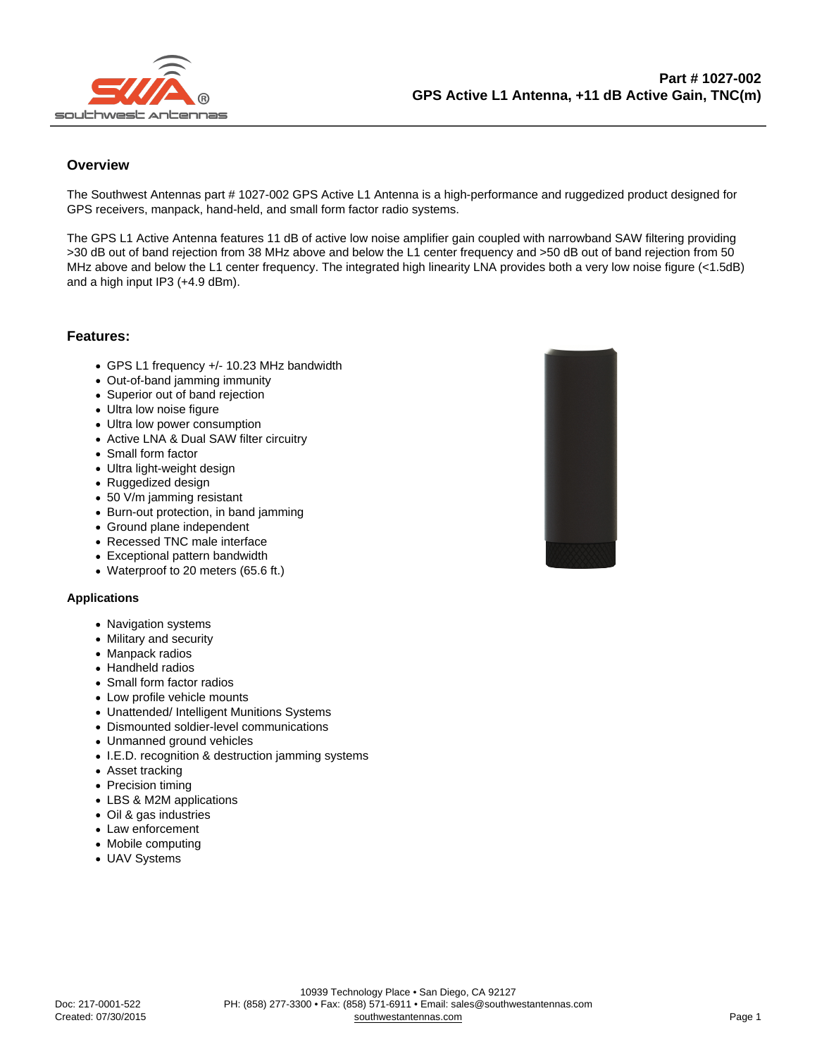## **Overview**

The Southwest Antennas part # 1027-002 GPS Active L1 Antenna is a high-performance and ruggedized product designed for GPS receivers, manpack, hand-held, and small form factor radio systems.

The GPS L1 Active Antenna features 11 dB of active low noise amplifier gain coupled with narrowband SAW filtering providing >30 dB out of band rejection from 38 MHz above and below the L1 center frequency and >50 dB out of band rejection from 50 MHz above and below the L1 center frequency. The integrated high linearity LNA provides both a very low noise figure (<1.5dB) and a high input IP3 (+4.9 dBm).

Features:

- GPS L1 frequency +/- 10.23 MHz bandwidth
- Out-of-band jamming immunity
- Superior out of band rejection
- Ultra low noise figure
- Ultra low power consumption
- Active LNA & Dual SAW filter circuitry
- Small form factor
- Ultra light-weight design
- Ruggedized design
- 50 V/m jamming resistant
- Burn-out protection, in band jamming
- Ground plane independent
- Recessed TNC male interface
- Exceptional pattern bandwidth
- Waterproof to 20 meters (65.6 ft.)

## Applications

- Navigation systems
- Military and security
- Manpack radios
- Handheld radios
- Small form factor radios
- Low profile vehicle mounts
- Unattended/ Intelligent Munitions Systems
- Dismounted soldier-level communications
- Unmanned ground vehicles
- I.E.D. recognition & destruction jamming systems
- Asset tracking
- Precision timing
- LBS & M2M applications
- Oil & gas industries
- Law enforcement
- Mobile computing
- UAV Systems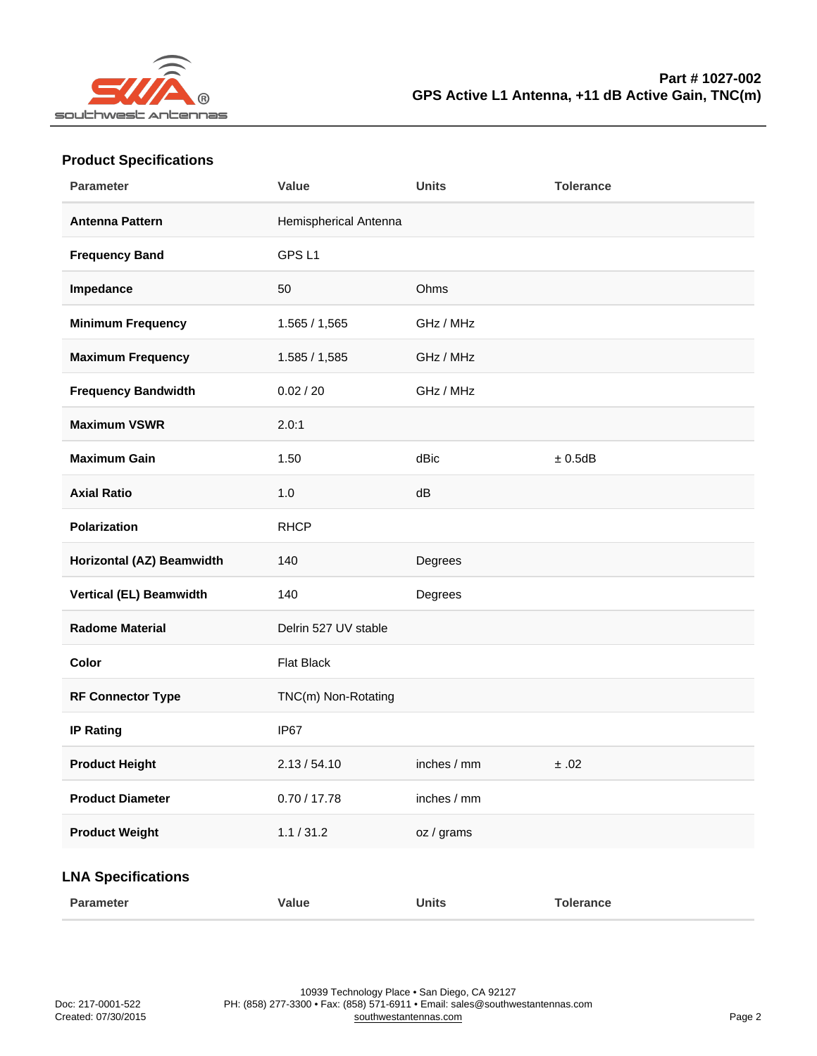| Parameter                 | Value                 | Units       | Tolerance |
|---------------------------|-----------------------|-------------|-----------|
| Antenna Pattern           | Hemispherical Antenna |             |           |
| Frequency Band            | GPS <sub>L1</sub>     |             |           |
| Impedance                 | 50                    | Ohms        |           |
| Minimum Frequency         | 1.565 / 1,565         | GHz / MHz   |           |
| Maximum Frequency         | 1.585 / 1,585         | GHz / MHz   |           |
| Frequency Bandwidth       | 0.02 / 20             | GHz / MHz   |           |
| Maximum VSWR              | 2.0:1                 |             |           |
| Maximum Gain              | 1.50                  | dBic        | ± 0.5dB   |
| <b>Axial Ratio</b>        | 1.0                   | dB          |           |
| Polarization              | <b>RHCP</b>           |             |           |
| Horizontal (AZ) Beamwidth | 140                   | Degrees     |           |
| Vertical (EL) Beamwidth   | 140                   | Degrees     |           |
| Radome Material           | Delrin 527 UV stable  |             |           |
| Color                     | Flat Black            |             |           |
| RF Connector Type         | TNC(m) Non-Rotating   |             |           |
| IP Rating                 | IP67                  |             |           |
| Product Height            | 2.13 / 54.10          | inches / mm | ±.02      |
| <b>Product Diameter</b>   | 0.70 / 17.78          | inches / mm |           |
| <b>Product Weight</b>     | 1.1 / 31.2            | oz / grams  |           |
| <b>LNA Specifications</b> |                       |             |           |
| Parameter                 | Value                 | Units       | Tolerance |

## Product Specifications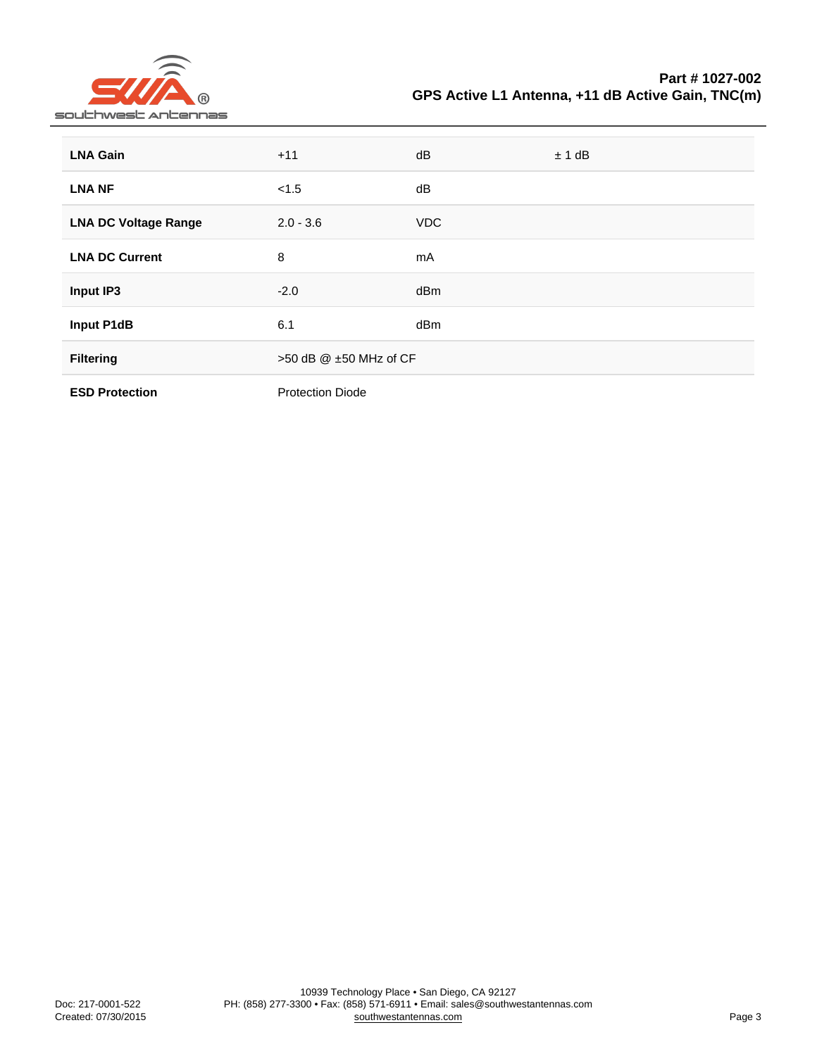Part # 1027-002 GPS Active L1 Antenna, +11 dB Active Gain, TNC(m)

| LNA Gain              | $+11$                        | dB         | ± 1 dB |
|-----------------------|------------------------------|------------|--------|
| LNA NF                | < 1.5                        | dB         |        |
| LNA DC Voltage Range  | $2.0 - 3.6$                  | <b>VDC</b> |        |
| <b>LNA DC Current</b> | 8                            | mA         |        |
| Input IP3             | $-2.0$                       | dBm        |        |
| Input P1dB            | 6.1                          | dBm        |        |
| Filtering             | $>50$ dB $@$ $±50$ MHz of CF |            |        |
| <b>ESD Protection</b> | <b>Protection Diode</b>      |            |        |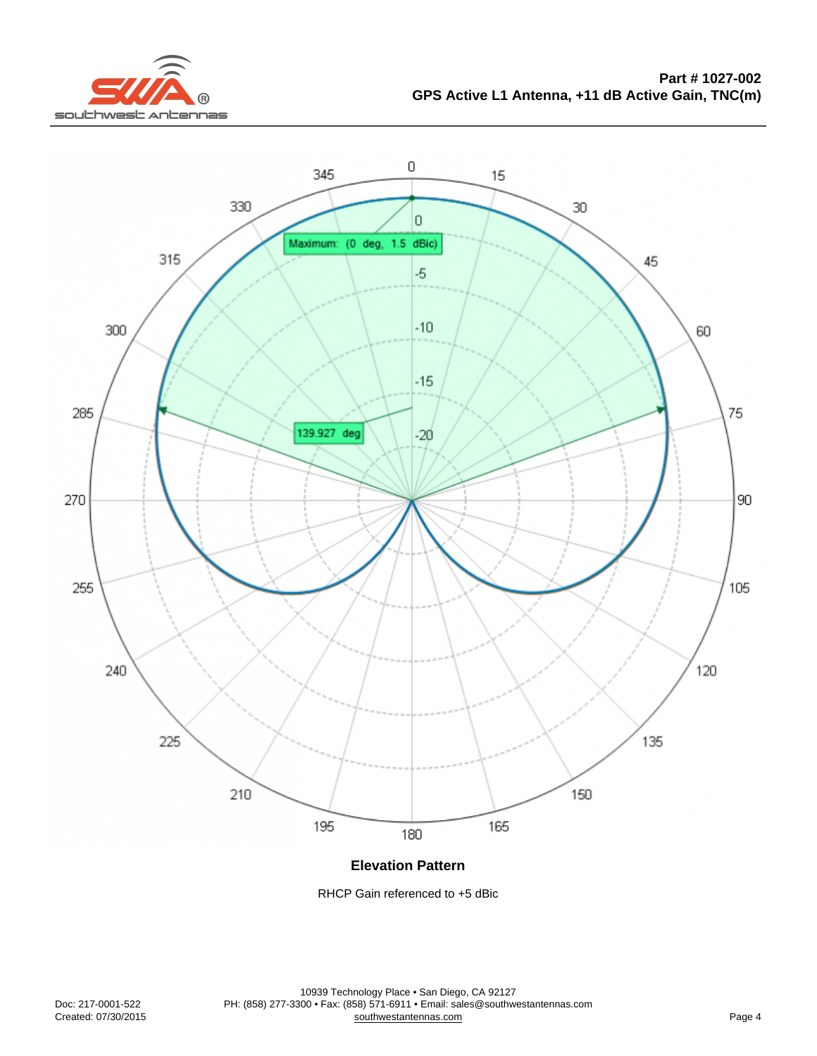Elevation Pattern

RHCP Gain referenced to +5 dBic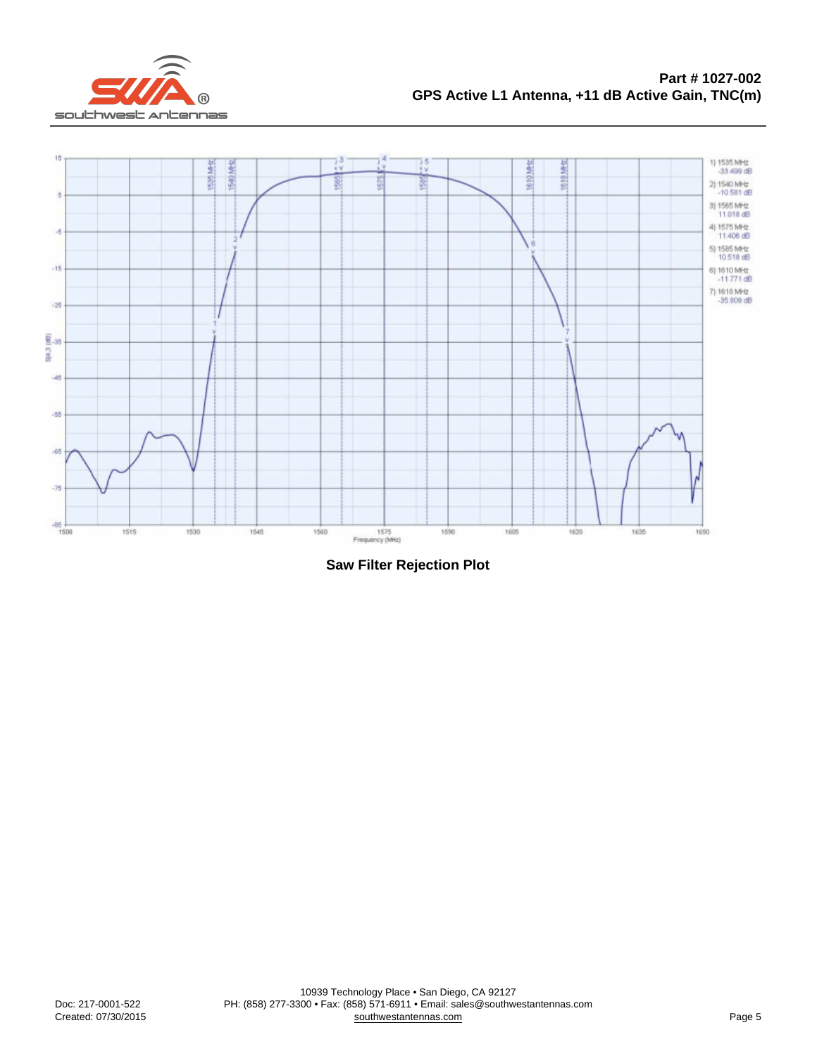Saw Filter Rejection Plot